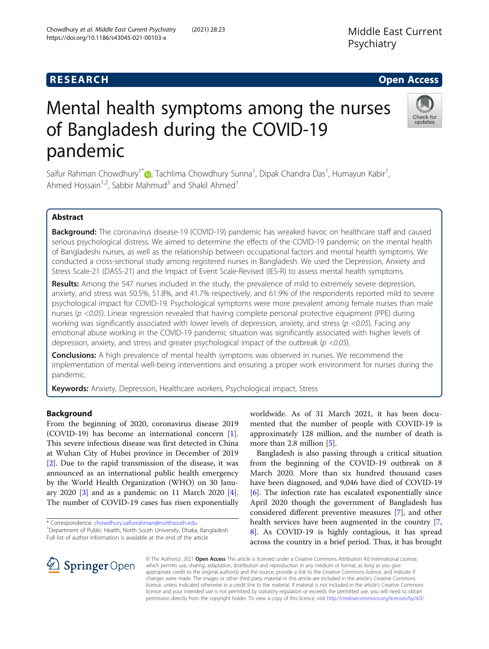# Mental health symptoms among the nurses of Bangladesh during the COVID-19 pandemic

Saifur Rahman Chowdhury<sup>1\*</sup>®, Tachlima Chowdhury Sunna<sup>1</sup>, Dipak Chandra Das<sup>1</sup>, Humayun Kabir<sup>1</sup> , Ahmed Hossain<sup>1,2</sup>, Sabbir Mahmud<sup>3</sup> and Shakil Ahmed<sup>1</sup>

# Abstract

Background: The coronavirus disease-19 (COVID-19) pandemic has wreaked havoc on healthcare staff and caused serious psychological distress. We aimed to determine the effects of the COVID-19 pandemic on the mental health of Bangladeshi nurses, as well as the relationship between occupational factors and mental health symptoms. We conducted a cross-sectional study among registered nurses in Bangladesh. We used the Depression, Anxiety and Stress Scale-21 (DASS-21) and the Impact of Event Scale-Revised (IES-R) to assess mental health symptoms.

Results: Among the 547 nurses included in the study, the prevalence of mild to extremely severe depression, anxiety, and stress was 50.5%, 51.8%, and 41.7% respectively, and 61.9% of the respondents reported mild to severe psychological impact for COVID-19. Psychological symptoms were more prevalent among female nurses than male nurses ( $p$  <0.05). Linear regression revealed that having complete personal protective equipment (PPE) during working was significantly associated with lower levels of depression, anxiety, and stress ( $p$  <0.05). Facing any emotional abuse working in the COVID-19 pandemic situation was significantly associated with higher levels of depression, anxiety, and stress and greater psychological impact of the outbreak ( $p$  <0.05).

**Conclusions:** A high prevalence of mental health symptoms was observed in nurses. We recommend the implementation of mental well-being interventions and ensuring a proper work environment for nurses during the pandemic.

Keywords: Anxiety, Depression, Healthcare workers, Psychological impact, Stress

#### Background

From the beginning of 2020, coronavirus disease 2019 (COVID-19) has become an international concern [\[1](#page-6-0)]. This severe infectious disease was first detected in China at Wuhan City of Hubei province in December of 2019 [[2\]](#page-6-0). Due to the rapid transmission of the disease, it was announced as an international public health emergency by the World Health Organization (WHO) on 30 January 2020 [[3\]](#page-6-0) and as a pandemic on 11 March 2020 [\[4](#page-6-0)]. The number of COVID-19 cases has risen exponentially

\* Correspondence: [chowdhury.saifurrahman@northsouth.edu](mailto:chowdhury.saifurrahman@northsouth.edu) <sup>1</sup> <sup>1</sup> Department of Public Health, North South University, Dhaka, Bangladesh Full list of author information is available at the end of the article

worldwide. As of 31 March 2021, it has been documented that the number of people with COVID-19 is approximately 128 million, and the number of death is more than 2.8 million [\[5](#page-6-0)].

Bangladesh is also passing through a critical situation from the beginning of the COVID-19 outbreak on 8 March 2020. More than six hundred thousand cases have been diagnosed, and 9,046 have died of COVID-19 [[6\]](#page-6-0). The infection rate has escalated exponentially since April 2020 though the government of Bangladesh has considered different preventive measures [\[7](#page-6-0)], and other health services have been augmented in the country [\[7](#page-6-0), [8\]](#page-6-0). As COVID-19 is highly contagious, it has spread across the country in a brief period. Thus, it has brought

© The Author(s). 2021 Open Access This article is licensed under a Creative Commons Attribution 4.0 International License, which permits use, sharing, adaptation, distribution and reproduction in any medium or format, as long as you give appropriate credit to the original author(s) and the source, provide a link to the Creative Commons licence, and indicate if changes were made. The images or other third party material in this article are included in the article's Creative Commons licence, unless indicated otherwise in a credit line to the material. If material is not included in the article's Creative Commons licence and your intended use is not permitted by statutory regulation or exceeds the permitted use, you will need to obtain permission directly from the copyright holder. To view a copy of this licence, visit <http://creativecommons.org/licenses/by/4.0/>.





# **RESEARCH CHE Open Access**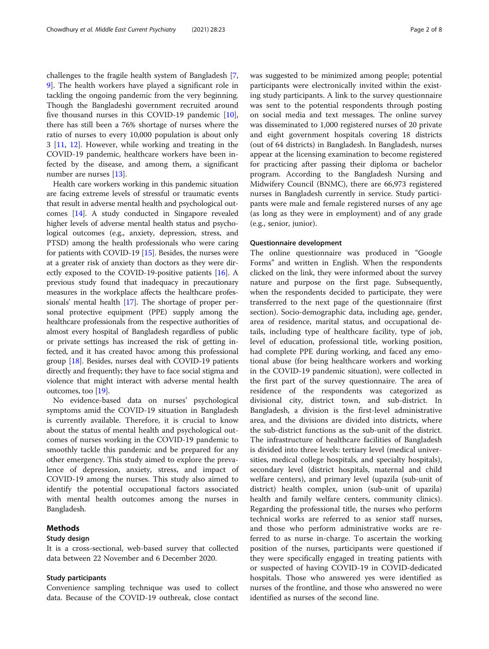challenges to the fragile health system of Bangladesh [[7](#page-6-0), [9\]](#page-6-0). The health workers have played a significant role in tackling the ongoing pandemic from the very beginning. Though the Bangladeshi government recruited around five thousand nurses in this COVID-19 pandemic [\[10](#page-6-0)], there has still been a 76% shortage of nurses where the ratio of nurses to every 10,000 population is about only 3 [[11,](#page-7-0) [12\]](#page-7-0). However, while working and treating in the COVID-19 pandemic, healthcare workers have been infected by the disease, and among them, a significant number are nurses [[13](#page-7-0)].

Health care workers working in this pandemic situation are facing extreme levels of stressful or traumatic events that result in adverse mental health and psychological outcomes [[14\]](#page-7-0). A study conducted in Singapore revealed higher levels of adverse mental health status and psychological outcomes (e.g., anxiety, depression, stress, and PTSD) among the health professionals who were caring for patients with COVID-19 [[15](#page-7-0)]. Besides, the nurses were at a greater risk of anxiety than doctors as they were directly exposed to the COVID-19-positive patients [[16](#page-7-0)]. A previous study found that inadequacy in precautionary measures in the workplace affects the healthcare professionals' mental health [[17](#page-7-0)]. The shortage of proper personal protective equipment (PPE) supply among the healthcare professionals from the respective authorities of almost every hospital of Bangladesh regardless of public or private settings has increased the risk of getting infected, and it has created havoc among this professional group [\[18\]](#page-7-0). Besides, nurses deal with COVID-19 patients directly and frequently; they have to face social stigma and violence that might interact with adverse mental health outcomes, too [\[19\]](#page-7-0).

No evidence-based data on nurses' psychological symptoms amid the COVID-19 situation in Bangladesh is currently available. Therefore, it is crucial to know about the status of mental health and psychological outcomes of nurses working in the COVID-19 pandemic to smoothly tackle this pandemic and be prepared for any other emergency. This study aimed to explore the prevalence of depression, anxiety, stress, and impact of COVID-19 among the nurses. This study also aimed to identify the potential occupational factors associated with mental health outcomes among the nurses in Bangladesh.

# Methods

#### Study design

It is a cross-sectional, web-based survey that collected data between 22 November and 6 December 2020.

#### Study participants

Convenience sampling technique was used to collect data. Because of the COVID-19 outbreak, close contact was suggested to be minimized among people; potential participants were electronically invited within the existing study participants. A link to the survey questionnaire was sent to the potential respondents through posting on social media and text messages. The online survey was disseminated to 1,000 registered nurses of 20 private and eight government hospitals covering 18 districts (out of 64 districts) in Bangladesh. In Bangladesh, nurses appear at the licensing examination to become registered for practicing after passing their diploma or bachelor program. According to the Bangladesh Nursing and Midwifery Council (BNMC), there are 66,973 registered nurses in Bangladesh currently in service. Study participants were male and female registered nurses of any age (as long as they were in employment) and of any grade (e.g., senior, junior).

#### Questionnaire development

The online questionnaire was produced in "Google Forms" and written in English. When the respondents clicked on the link, they were informed about the survey nature and purpose on the first page. Subsequently, when the respondents decided to participate, they were transferred to the next page of the questionnaire (first section). Socio-demographic data, including age, gender, area of residence, marital status, and occupational details, including type of healthcare facility, type of job, level of education, professional title, working position, had complete PPE during working, and faced any emotional abuse (for being healthcare workers and working in the COVID-19 pandemic situation), were collected in the first part of the survey questionnaire. The area of residence of the respondents was categorized as divisional city, district town, and sub-district. In Bangladesh, a division is the first-level administrative area, and the divisions are divided into districts, where the sub-district functions as the sub-unit of the district. The infrastructure of healthcare facilities of Bangladesh is divided into three levels: tertiary level (medical universities, medical college hospitals, and specialty hospitals), secondary level (district hospitals, maternal and child welfare centers), and primary level (upazila (sub-unit of district) health complex, union (sub-unit of upazila) health and family welfare centers, community clinics). Regarding the professional title, the nurses who perform technical works are referred to as senior staff nurses, and those who perform administrative works are referred to as nurse in-charge. To ascertain the working position of the nurses, participants were questioned if they were specifically engaged in treating patients with or suspected of having COVID-19 in COVID-dedicated hospitals. Those who answered yes were identified as nurses of the frontline, and those who answered no were identified as nurses of the second line.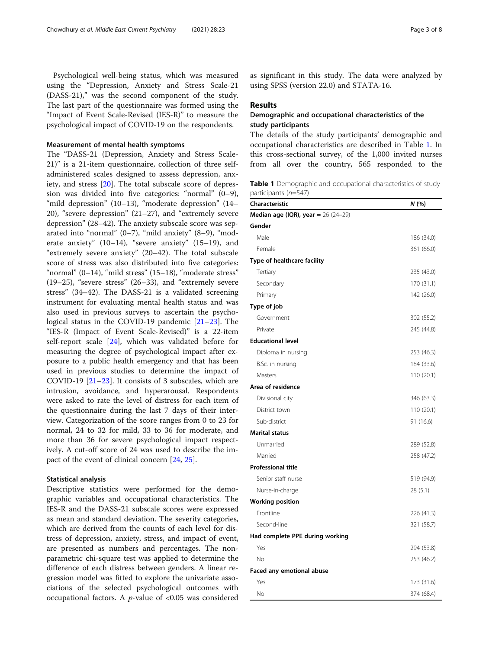Psychological well-being status, which was measured using the "Depression, Anxiety and Stress Scale-21 (DASS-21)," was the second component of the study. The last part of the questionnaire was formed using the "Impact of Event Scale-Revised (IES-R)" to measure the psychological impact of COVID-19 on the respondents.

#### Measurement of mental health symptoms

The "DASS-21 (Depression, Anxiety and Stress Scale-21)" is a 21-item questionnaire, collection of three selfadministered scales designed to assess depression, anxiety, and stress [\[20](#page-7-0)]. The total subscale score of depression was divided into five categories: "normal" (0–9), "mild depression" (10–13), "moderate depression" (14– 20), "severe depression" (21–27), and "extremely severe depression" (28–42). The anxiety subscale score was separated into "normal"  $(0-7)$ , "mild anxiety"  $(8-9)$ , "moderate anxiety" (10–14), "severe anxiety" (15–19), and "extremely severe anxiety" (20–42). The total subscale score of stress was also distributed into five categories: "normal" (0–14), "mild stress" (15–18), "moderate stress" (19–25), "severe stress" (26–33), and "extremely severe stress" (34–42). The DASS-21 is a validated screening instrument for evaluating mental health status and was also used in previous surveys to ascertain the psychological status in the COVID-19 pandemic [\[21](#page-7-0)–[23\]](#page-7-0). The "IES-R (Impact of Event Scale-Revised)" is a 22-item self-report scale [\[24](#page-7-0)], which was validated before for measuring the degree of psychological impact after exposure to a public health emergency and that has been used in previous studies to determine the impact of COVID-19 [\[21](#page-7-0)–[23\]](#page-7-0). It consists of 3 subscales, which are intrusion, avoidance, and hyperarousal. Respondents were asked to rate the level of distress for each item of the questionnaire during the last 7 days of their interview. Categorization of the score ranges from 0 to 23 for normal, 24 to 32 for mild, 33 to 36 for moderate, and more than 36 for severe psychological impact respectively. A cut-off score of 24 was used to describe the impact of the event of clinical concern [[24,](#page-7-0) [25\]](#page-7-0).

#### Statistical analysis

Descriptive statistics were performed for the demographic variables and occupational characteristics. The IES-R and the DASS-21 subscale scores were expressed as mean and standard deviation. The severity categories, which are derived from the counts of each level for distress of depression, anxiety, stress, and impact of event, are presented as numbers and percentages. The nonparametric chi-square test was applied to determine the difference of each distress between genders. A linear regression model was fitted to explore the univariate associations of the selected psychological outcomes with occupational factors. A  $p$ -value of <0.05 was considered as significant in this study. The data were analyzed by using SPSS (version 22.0) and STATA-16.

### Results

# Demographic and occupational characteristics of the study participants

The details of the study participants' demographic and occupational characteristics are described in Table 1. In this cross-sectional survey, of the 1,000 invited nurses from all over the country, 565 responded to the

Table 1 Demographic and occupational characteristics of study participants (n=547)

| Characteristic                             | N (%)      |
|--------------------------------------------|------------|
| <b>Median age (IQR), year =</b> 26 (24-29) |            |
| Gender                                     |            |
| Male                                       | 186 (34.0) |
| Female                                     | 361 (66.0) |
| Type of healthcare facility                |            |
| Tertiary                                   | 235 (43.0) |
| Secondary                                  | 170 (31.1) |
| Primary                                    | 142 (26.0) |
| Type of job                                |            |
| Government                                 | 302 (55.2) |
| Private                                    | 245 (44.8) |
| <b>Educational level</b>                   |            |
| Diploma in nursing                         | 253 (46.3) |
| B.Sc. in nursing                           | 184 (33.6) |
| Masters                                    | 110 (20.1) |
| Area of residence                          |            |
| Divisional city                            | 346 (63.3) |
| District town                              | 110 (20.1) |
| Sub-district                               | 91 (16.6)  |
| <b>Marital status</b>                      |            |
| Unmarried                                  | 289 (52.8) |
| Married                                    | 258 (47.2) |
| <b>Professional title</b>                  |            |
| Senior staff nurse                         | 519 (94.9) |
| Nurse-in-charge                            | 28 (5.1)   |
| <b>Working position</b>                    |            |
| Frontline                                  | 226 (41.3) |
| Second-line                                | 321 (58.7) |
| Had complete PPE during working            |            |
| Yes                                        | 294 (53.8) |
| No                                         | 253 (46.2) |
| Faced any emotional abuse                  |            |
| Yes                                        | 173 (31.6) |
| No                                         | 374 (68.4) |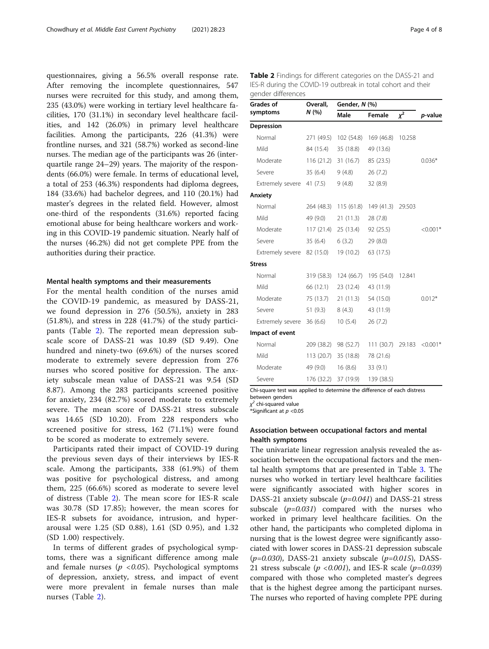questionnaires, giving a 56.5% overall response rate. After removing the incomplete questionnaires, 547 nurses were recruited for this study, and among them, 235 (43.0%) were working in tertiary level healthcare facilities, 170 (31.1%) in secondary level healthcare facilities, and 142 (26.0%) in primary level healthcare facilities. Among the participants, 226 (41.3%) were frontline nurses, and 321 (58.7%) worked as second-line nurses. The median age of the participants was 26 (interquartile range 24–29) years. The majority of the respondents (66.0%) were female. In terms of educational level, a total of 253 (46.3%) respondents had diploma degrees, 184 (33.6%) had bachelor degrees, and 110 (20.1%) had master's degrees in the related field. However, almost one-third of the respondents (31.6%) reported facing emotional abuse for being healthcare workers and working in this COVID-19 pandemic situation. Nearly half of the nurses (46.2%) did not get complete PPE from the authorities during their practice.

#### Mental health symptoms and their measurements

For the mental health condition of the nurses amid the COVID-19 pandemic, as measured by DASS-21, we found depression in 276 (50.5%), anxiety in 283 (51.8%), and stress in 228 (41.7%) of the study participants (Table 2). The reported mean depression subscale score of DASS-21 was 10.89 (SD 9.49). One hundred and ninety-two (69.6%) of the nurses scored moderate to extremely severe depression from 276 nurses who scored positive for depression. The anxiety subscale mean value of DASS-21 was 9.54 (SD 8.87). Among the 283 participants screened positive for anxiety, 234 (82.7%) scored moderate to extremely severe. The mean score of DASS-21 stress subscale was 14.65 (SD 10.20). From 228 responders who screened positive for stress, 162 (71.1%) were found to be scored as moderate to extremely severe.

Participants rated their impact of COVID-19 during the previous seven days of their interviews by IES-R scale. Among the participants, 338 (61.9%) of them was positive for psychological distress, and among them, 225 (66.6%) scored as moderate to severe level of distress (Table 2). The mean score for IES-R scale was 30.78 (SD 17.85); however, the mean scores for IES-R subsets for avoidance, intrusion, and hyperarousal were 1.25 (SD 0.88), 1.61 (SD 0.95), and 1.32 (SD 1.00) respectively.

In terms of different grades of psychological symptoms, there was a significant difference among male and female nurses ( $p < 0.05$ ). Psychological symptoms of depression, anxiety, stress, and impact of event were more prevalent in female nurses than male nurses (Table 2).

Table 2 Findings for different categories on the DASS-21 and IES-R during the COVID-19 outbreak in total cohort and their gender differences

| Grades of                 | Overall,   | Gender, N (%)         |            |        |            |  |
|---------------------------|------------|-----------------------|------------|--------|------------|--|
| symptoms                  | N (%)      | Male                  | Female     | $x^2$  | p-value    |  |
| Depression                |            |                       |            |        |            |  |
| Normal                    | 271 (49.5) | 102 (54.8)            | 169 (46.8) | 10.258 |            |  |
| Mild                      | 84 (15.4)  | 35 (18.8)             | 49 (13.6)  |        |            |  |
| Moderate                  |            | $116(21.2)$ 31 (16.7) | 85 (23.5)  |        | $0.036*$   |  |
| Severe                    | 35(6.4)    | 9(4.8)                | 26(7.2)    |        |            |  |
| Extremely severe 41 (7.5) |            | 9(4.8)                | 32 (8.9)   |        |            |  |
| Anxiety                   |            |                       |            |        |            |  |
| Normal                    | 264 (48.3) | 115(61.8)             | 149 (41.3) | 29.503 |            |  |
| Mild                      | 49 (9.0)   | 21 (11.3)             | 28(7.8)    |        |            |  |
| Moderate                  |            | 117 (21.4) 25 (13.4)  | 92 (25.5)  |        | $< 0.001*$ |  |
| Severe                    | 35(6.4)    | 6(3.2)                | 29 (8.0)   |        |            |  |
| Extremely severe          | 82 (15.0)  | 19 (10.2)             | 63 (17.5)  |        |            |  |
| <b>Stress</b>             |            |                       |            |        |            |  |
| Normal                    | 319 (58.3) | 124 (66.7)            | 195 (54.0) | 12.841 |            |  |
| Mild                      | 66 (12.1)  | 23 (12.4)             | 43 (11.9)  |        |            |  |
| Moderate                  | 75 (13.7)  | 21 (11.3)             | 54 (15.0)  |        | $0.012*$   |  |
| Severe                    | 51 (9.3)   | 8(4.3)                | 43 (11.9)  |        |            |  |
| Extremely severe          | 36(6.6)    | 10(5.4)               | 26(7.2)    |        |            |  |
| Impact of event           |            |                       |            |        |            |  |
| Normal                    | 209 (38.2) | 98 (52.7)             | 111(30.7)  | 29.183 | $< 0.001*$ |  |
| Mild                      | 113 (20.7) | 35 (18.8)             | 78 (21.6)  |        |            |  |
| Moderate                  | 49 (9.0)   | 16(8.6)               | 33(9.1)    |        |            |  |
| Severe                    | 176 (32.2) | 37 (19.9)             | 139 (38.5) |        |            |  |

Chi-square test was applied to determine the difference of each distress between genders

 $\chi^2$  chi-squared value

\*Significant at  $p < 0.05$ 

# Association between occupational factors and mental health symptoms

The univariate linear regression analysis revealed the association between the occupational factors and the mental health symptoms that are presented in Table [3](#page-4-0). The nurses who worked in tertiary level healthcare facilities were significantly associated with higher scores in DASS-21 anxiety subscale  $(p=0.041)$  and DASS-21 stress subscale  $(p=0.031)$  compared with the nurses who worked in primary level healthcare facilities. On the other hand, the participants who completed diploma in nursing that is the lowest degree were significantly associated with lower scores in DASS-21 depression subscale  $(p=0.030)$ , DASS-21 anxiety subscale  $(p=0.015)$ , DASS-21 stress subscale ( $p < 0.001$ ), and IES-R scale ( $p = 0.039$ ) compared with those who completed master's degrees that is the highest degree among the participant nurses. The nurses who reported of having complete PPE during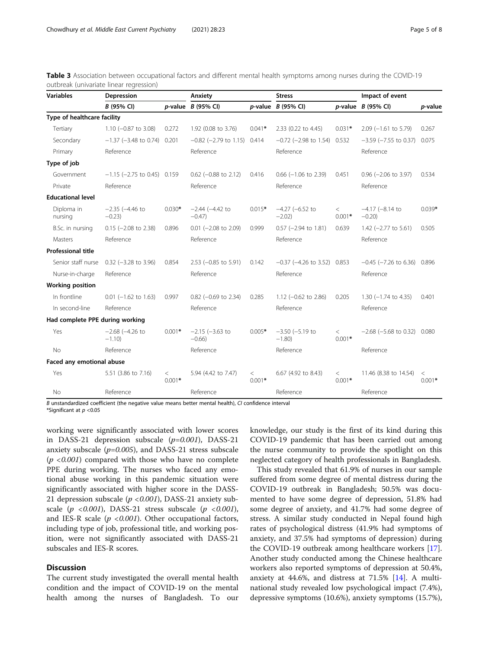<span id="page-4-0"></span>

| Table 3 Association between occupational factors and different mental health symptoms among nurses during the COVID-19 |  |  |  |  |  |  |
|------------------------------------------------------------------------------------------------------------------------|--|--|--|--|--|--|
| outbreak (univariate linear regression)                                                                                |  |  |  |  |  |  |

| <b>Variables</b>                | Depression                      |                   | Anxiety                          |                   | <b>Stress</b>                    |                     | Impact of event                   |                     |  |
|---------------------------------|---------------------------------|-------------------|----------------------------------|-------------------|----------------------------------|---------------------|-----------------------------------|---------------------|--|
|                                 | B (95% CI)                      |                   | $p$ -value $B$ (95% CI)          |                   | $p$ -value $B$ (95% CI)          |                     | $p$ -value $B$ (95% CI)           | p-value             |  |
| Type of healthcare facility     |                                 |                   |                                  |                   |                                  |                     |                                   |                     |  |
| Tertiary                        | 1.10 $(-0.87$ to 3.08)          | 0.272             | 1.92 (0.08 to 3.76)              | $0.041*$          | 2.33 (0.22 to 4.45)              | $0.031*$            | $2.09$ (-1.61 to 5.79)            | 0.267               |  |
| Secondary                       | $-1.37$ ( $-3.48$ to 0.74)      | 0.201             | $-0.82$ ( $-2.79$ to 1.15)       | 0.414             | $-0.72$ ( $-2.98$ to 1.54)       | 0.532               | $-3.59$ ( $-7.55$ to 0.37)        | 0.075               |  |
| Primary                         | Reference                       |                   | Reference                        |                   | Reference                        |                     | Reference                         |                     |  |
| Type of job                     |                                 |                   |                                  |                   |                                  |                     |                                   |                     |  |
| Government                      | $-1.15$ (-2.75 to 0.45) 0.159   |                   | $0.62$ (-0.88 to 2.12)           | 0.416             | $0.66$ (-1.06 to 2.39)           | 0.451               | $0.96$ (-2.06 to 3.97)            | 0.534               |  |
| Private                         | Reference                       |                   | Reference                        |                   | Reference                        |                     | Reference                         |                     |  |
| <b>Educational level</b>        |                                 |                   |                                  |                   |                                  |                     |                                   |                     |  |
| Diploma in<br>nursing           | $-2.35$ ( $-4.46$ to<br>$-0.23$ | $0.030*$          | $-2.44 (-4.42 to$<br>$-0.47$     | $0.015*$          | $-4.27$ $(-6.52$ to<br>$-2.02$   | $\lt$<br>$0.001*$   | $-4.17$ ( $-8.14$ to<br>$-0.20$ ) | $0.039*$            |  |
| B.Sc. in nursing                | $0.15$ (-2.08 to 2.38)          | 0.896             | $0.01$ (-2.08 to 2.09)           | 0.999             | $0.57$ (-2.94 to 1.81)           | 0.639               | 1.42 $(-2.77$ to 5.61)            | 0.505               |  |
| Masters                         | Reference                       |                   | Reference                        |                   | Reference                        |                     | Reference                         |                     |  |
| <b>Professional title</b>       |                                 |                   |                                  |                   |                                  |                     |                                   |                     |  |
| Senior staff nurse              | $0.32$ (-3.28 to 3.96)          | 0.854             | $2.53$ (-0.85 to 5.91)           | 0.142             | $-0.37$ ( $-4.26$ to 3.52) 0.853 |                     | $-0.45$ ( $-7.26$ to 6.36) 0.896  |                     |  |
| Nurse-in-charge                 | Reference                       |                   | Reference                        |                   | Reference                        |                     | Reference                         |                     |  |
| <b>Working position</b>         |                                 |                   |                                  |                   |                                  |                     |                                   |                     |  |
| In frontline                    | $0.01$ (-1.62 to 1.63)          | 0.997             | $0.82$ (-0.69 to 2.34)           | 0.285             | 1.12 $(-0.62 \text{ to } 2.86)$  | 0.205               | $1.30$ (-1.74 to 4.35)            | 0.401               |  |
| In second-line                  | Reference                       |                   | Reference                        |                   | Reference                        |                     | Reference                         |                     |  |
| Had complete PPE during working |                                 |                   |                                  |                   |                                  |                     |                                   |                     |  |
| Yes                             | $-2.68$ ( $-4.26$ to<br>$-1.10$ | $0.001*$          | $-2.15$ $(-3.63$ to<br>$-0.66$ ) | $0.005*$          | $-3.50$ ( $-5.19$ to<br>$-1.80$  | $\,<\,$<br>$0.001*$ | $-2.68$ ( $-5.68$ to 0.32) 0.080  |                     |  |
| <b>No</b>                       | Reference                       |                   | Reference                        |                   | Reference                        |                     | Reference                         |                     |  |
| Faced any emotional abuse       |                                 |                   |                                  |                   |                                  |                     |                                   |                     |  |
| Yes                             | 5.51 (3.86 to 7.16)             | $\lt$<br>$0.001*$ | 5.94 (4.42 to 7.47)              | $\lt$<br>$0.001*$ | 6.67 (4.92 to 8.43)              | $\,<\,$<br>$0.001*$ | 11.46 (8.38 to 14.54)             | $\,<\,$<br>$0.001*$ |  |
| <b>No</b>                       | Reference                       |                   | Reference                        |                   | Reference                        |                     | Reference                         |                     |  |

 $B$  unstandardized coefficient (the negative value means better mental health), CI confidence interval

\*Significant at  $p < 0.05$ 

working were significantly associated with lower scores in DASS-21 depression subscale  $(p=0.001)$ , DASS-21 anxiety subscale  $(p=0.005)$ , and DASS-21 stress subscale  $(p < 0.001)$  compared with those who have no complete PPE during working. The nurses who faced any emotional abuse working in this pandemic situation were significantly associated with higher score in the DASS-21 depression subscale ( $p < 0.001$ ), DASS-21 anxiety subscale ( $p < 0.001$ ), DASS-21 stress subscale ( $p < 0.001$ ), and IES-R scale ( $p < 0.001$ ). Other occupational factors, including type of job, professional title, and working position, were not significantly associated with DASS-21 subscales and IES-R scores.

# Discussion

The current study investigated the overall mental health condition and the impact of COVID-19 on the mental health among the nurses of Bangladesh. To our knowledge, our study is the first of its kind during this COVID-19 pandemic that has been carried out among the nurse community to provide the spotlight on this neglected category of health professionals in Bangladesh.

This study revealed that 61.9% of nurses in our sample suffered from some degree of mental distress during the COVID-19 outbreak in Bangladesh; 50.5% was documented to have some degree of depression, 51.8% had some degree of anxiety, and 41.7% had some degree of stress. A similar study conducted in Nepal found high rates of psychological distress (41.9% had symptoms of anxiety, and 37.5% had symptoms of depression) during the COVID-19 outbreak among healthcare workers [\[17](#page-7-0)]. Another study conducted among the Chinese healthcare workers also reported symptoms of depression at 50.4%, anxiety at 44.6%, and distress at 71.5% [\[14](#page-7-0)]. A multinational study revealed low psychological impact (7.4%), depressive symptoms (10.6%), anxiety symptoms (15.7%),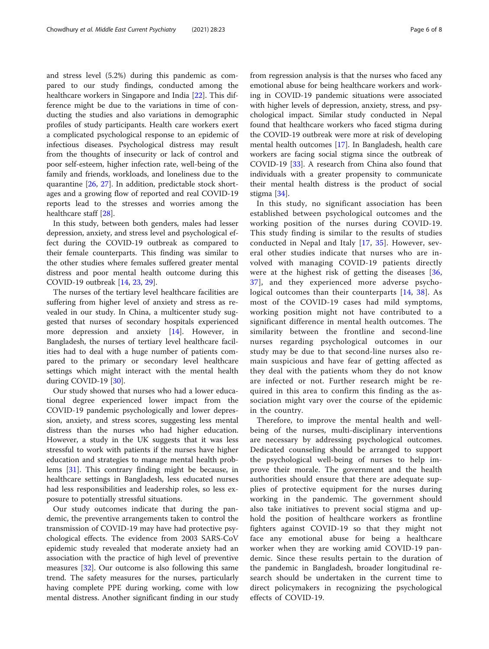and stress level (5.2%) during this pandemic as compared to our study findings, conducted among the healthcare workers in Singapore and India [[22\]](#page-7-0). This difference might be due to the variations in time of conducting the studies and also variations in demographic profiles of study participants. Health care workers exert a complicated psychological response to an epidemic of infectious diseases. Psychological distress may result from the thoughts of insecurity or lack of control and poor self-esteem, higher infection rate, well-being of the family and friends, workloads, and loneliness due to the quarantine [\[26](#page-7-0), [27](#page-7-0)]. In addition, predictable stock shortages and a growing flow of reported and real COVID-19 reports lead to the stresses and worries among the healthcare staff [[28\]](#page-7-0).

In this study, between both genders, males had lesser depression, anxiety, and stress level and psychological effect during the COVID-19 outbreak as compared to their female counterparts. This finding was similar to the other studies where females suffered greater mental distress and poor mental health outcome during this COVID-19 outbreak [[14,](#page-7-0) [23](#page-7-0), [29](#page-7-0)].

The nurses of the tertiary level healthcare facilities are suffering from higher level of anxiety and stress as revealed in our study. In China, a multicenter study suggested that nurses of secondary hospitals experienced more depression and anxiety [[14\]](#page-7-0). However, in Bangladesh, the nurses of tertiary level healthcare facilities had to deal with a huge number of patients compared to the primary or secondary level healthcare settings which might interact with the mental health during COVID-19 [[30](#page-7-0)].

Our study showed that nurses who had a lower educational degree experienced lower impact from the COVID-19 pandemic psychologically and lower depression, anxiety, and stress scores, suggesting less mental distress than the nurses who had higher education. However, a study in the UK suggests that it was less stressful to work with patients if the nurses have higher education and strategies to manage mental health problems [[31\]](#page-7-0). This contrary finding might be because, in healthcare settings in Bangladesh, less educated nurses had less responsibilities and leadership roles, so less exposure to potentially stressful situations.

Our study outcomes indicate that during the pandemic, the preventive arrangements taken to control the transmission of COVID-19 may have had protective psychological effects. The evidence from 2003 SARS-CoV epidemic study revealed that moderate anxiety had an association with the practice of high level of preventive measures [[32](#page-7-0)]. Our outcome is also following this same trend. The safety measures for the nurses, particularly having complete PPE during working, come with low mental distress. Another significant finding in our study from regression analysis is that the nurses who faced any emotional abuse for being healthcare workers and working in COVID-19 pandemic situations were associated with higher levels of depression, anxiety, stress, and psychological impact. Similar study conducted in Nepal found that healthcare workers who faced stigma during the COVID-19 outbreak were more at risk of developing mental health outcomes [[17\]](#page-7-0). In Bangladesh, health care workers are facing social stigma since the outbreak of COVID-19 [\[33](#page-7-0)]. A research from China also found that individuals with a greater propensity to communicate their mental health distress is the product of social stigma [[34](#page-7-0)].

In this study, no significant association has been established between psychological outcomes and the working position of the nurses during COVID-19. This study finding is similar to the results of studies conducted in Nepal and Italy [[17,](#page-7-0) [35\]](#page-7-0). However, several other studies indicate that nurses who are involved with managing COVID-19 patients directly were at the highest risk of getting the diseases [[36](#page-7-0), [37\]](#page-7-0), and they experienced more adverse psychological outcomes than their counterparts [[14,](#page-7-0) [38\]](#page-7-0). As most of the COVID-19 cases had mild symptoms, working position might not have contributed to a significant difference in mental health outcomes. The similarity between the frontline and second-line nurses regarding psychological outcomes in our study may be due to that second-line nurses also remain suspicious and have fear of getting affected as they deal with the patients whom they do not know are infected or not. Further research might be required in this area to confirm this finding as the association might vary over the course of the epidemic in the country.

Therefore, to improve the mental health and wellbeing of the nurses, multi-disciplinary interventions are necessary by addressing psychological outcomes. Dedicated counseling should be arranged to support the psychological well-being of nurses to help improve their morale. The government and the health authorities should ensure that there are adequate supplies of protective equipment for the nurses during working in the pandemic. The government should also take initiatives to prevent social stigma and uphold the position of healthcare workers as frontline fighters against COVID-19 so that they might not face any emotional abuse for being a healthcare worker when they are working amid COVID-19 pandemic. Since these results pertain to the duration of the pandemic in Bangladesh, broader longitudinal research should be undertaken in the current time to direct policymakers in recognizing the psychological effects of COVID-19.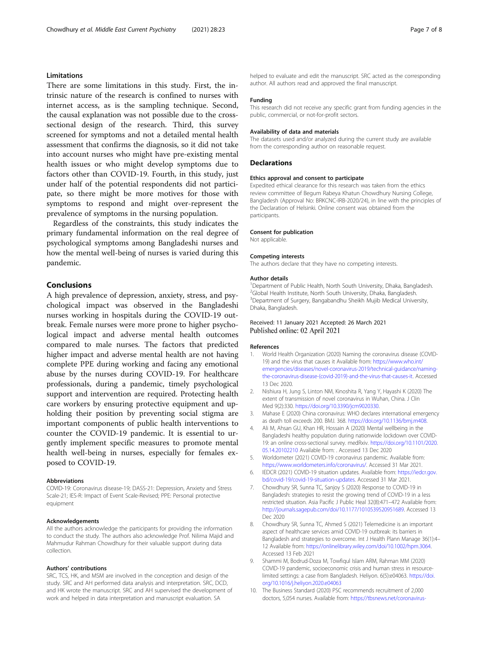## <span id="page-6-0"></span>Limitations

There are some limitations in this study. First, the intrinsic nature of the research is confined to nurses with internet access, as is the sampling technique. Second, the causal explanation was not possible due to the crosssectional design of the research. Third, this survey screened for symptoms and not a detailed mental health assessment that confirms the diagnosis, so it did not take into account nurses who might have pre-existing mental health issues or who might develop symptoms due to factors other than COVID-19. Fourth, in this study, just under half of the potential respondents did not participate, so there might be more motives for those with symptoms to respond and might over-represent the prevalence of symptoms in the nursing population.

Regardless of the constraints, this study indicates the primary fundamental information on the real degree of psychological symptoms among Bangladeshi nurses and how the mental well-being of nurses is varied during this pandemic.

#### Conclusions

A high prevalence of depression, anxiety, stress, and psychological impact was observed in the Bangladeshi nurses working in hospitals during the COVID-19 outbreak. Female nurses were more prone to higher psychological impact and adverse mental health outcomes compared to male nurses. The factors that predicted higher impact and adverse mental health are not having complete PPE during working and facing any emotional abuse by the nurses during COVID-19. For healthcare professionals, during a pandemic, timely psychological support and intervention are required. Protecting health care workers by ensuring protective equipment and upholding their position by preventing social stigma are important components of public health interventions to counter the COVID-19 pandemic. It is essential to urgently implement specific measures to promote mental health well-being in nurses, especially for females exposed to COVID-19.

#### Abbreviations

COVID-19: Coronavirus disease-19; DASS-21: Depression, Anxiety and Stress Scale-21; IES-R: Impact of Event Scale-Revised; PPE: Personal protective equipment

#### Acknowledgements

All the authors acknowledge the participants for providing the information to conduct the study. The authors also acknowledge Prof. Nilima Majid and Mahmudur Rahman Chowdhury for their valuable support during data collection.

#### Authors' contributions

SRC, TCS, HK, and MSM are involved in the conception and design of the study. SRC and AH performed data analysis and interpretation. SRC, DCD, and HK wrote the manuscript. SRC and AH supervised the development of work and helped in data interpretation and manuscript evaluation. SA

helped to evaluate and edit the manuscript. SRC acted as the corresponding author. All authors read and approved the final manuscript.

#### Funding

This research did not receive any specific grant from funding agencies in the public, commercial, or not-for-profit sectors.

#### Availability of data and materials

The datasets used and/or analyzed during the current study are available from the corresponding author on reasonable request.

#### **Declarations**

#### Ethics approval and consent to participate

Expedited ethical clearance for this research was taken from the ethics review committee of Begum Rabeya Khatun Chowdhury Nursing College, Bangladesh (Approval No: BRKCNC-IRB-2020/24), in line with the principles of the Declaration of Helsinki. Online consent was obtained from the participants.

### Consent for publication

Not applicable.

#### Competing interests

The authors declare that they have no competing interests.

#### Author details

<sup>1</sup> Department of Public Health, North South University, Dhaka, Bangladesh. 2 Global Health Institute, North South University, Dhaka, Bangladesh. <sup>3</sup> Department of Surgery, Bangabandhu Sheikh Mujib Medical University Dhaka, Bangladesh.

#### Received: 11 January 2021 Accepted: 26 March 2021 Published online: 02 April 2021

#### References

- 1. World Health Organization (2020) Naming the coronavirus disease (COVID-19) and the virus that causes it Available from: [https://www.who.int/](https://www.who.int/emergencies/diseases/novel-coronavirus-2019/technical-guidance/naming-the-coronavirus-disease-(covid-2019)-and-the-virus-that-causes-it) [emergencies/diseases/novel-coronavirus-2019/technical-guidance/naming](https://www.who.int/emergencies/diseases/novel-coronavirus-2019/technical-guidance/naming-the-coronavirus-disease-(covid-2019)-and-the-virus-that-causes-it)[the-coronavirus-disease-\(covid-2019\)-and-the-virus-that-causes-it.](https://www.who.int/emergencies/diseases/novel-coronavirus-2019/technical-guidance/naming-the-coronavirus-disease-(covid-2019)-and-the-virus-that-causes-it) Accessed 13 Dec 2020.
- 2. Nishiura H, Jung S, Linton NM, Kinoshita R, Yang Y, Hayashi K (2020) The extent of transmission of novel coronavirus in Wuhan, China. J Clin Med 9(2):330. <https://doi.org/10.3390/jcm9020330>.
- 3. Mahase E (2020) China coronavirus: WHO declares international emergency as death toll exceeds 200. BMJ. 368. [https://doi.org/10.1136/bmj.m408.](https://doi.org/10.1136/bmj.m408)
- 4. Ali M, Ahsan GU, Khan HR, Hossain A (2020) Mental wellbeing in the Bangladeshi healthy population during nationwide lockdown over COVID-19: an online cross-sectional survey. medRxiv. [https://doi.org/10.1101/2020.](https://doi.org/10.1101/2020.05.14.20102210) [05.14.20102210](https://doi.org/10.1101/2020.05.14.20102210) Available from: . Accessed 13 Dec 2020
- 5. Worldometer (2021) COVID-19 coronavirus pandemic. Available from: <https://www.worldometers.info/coronavirus/>. Accessed 31 Mar 2021.
- 6. IEDCR (2021) COVID-19 situation updates. Available from: [https://iedcr.gov.](https://iedcr.gov.bd/covid-19/covid-19-situation-updates) [bd/covid-19/covid-19-situation-updates](https://iedcr.gov.bd/covid-19/covid-19-situation-updates). Accessed 31 Mar 2021.
- 7. Chowdhury SR, Sunna TC, Sanjoy S (2020) Response to COVID-19 in Bangladesh: strategies to resist the growing trend of COVID-19 in a less restricted situation. Asia Pacific J Public Heal 32(8):471–472 Available from: <http://journals.sagepub.com/doi/10.1177/1010539520951689>. Accessed 13 Dec 2020
- 8. Chowdhury SR, Sunna TC, Ahmed S (2021) Telemedicine is an important aspect of healthcare services amid COVID-19 outbreak: its barriers in Bangladesh and strategies to overcome. Int J Health Plann Manage 36(1):4– 12 Available from: [https://onlinelibrary.wiley.com/doi/10.1002/hpm.3064.](https://onlinelibrary.wiley.com/doi/10.1002/hpm.3064) Accessed 13 Feb 2021
- 9. Shammi M, Bodrud-Doza M, Towfiqul Islam ARM, Rahman MM (2020) COVID-19 pandemic, socioeconomic crisis and human stress in resourcelimited settings: a case from Bangladesh. Heliyon. 6(5):e04063. [https://doi.](https://doi.org/10.1016/j.heliyon.2020.e04063) [org/10.1016/j.heliyon.2020.e04063](https://doi.org/10.1016/j.heliyon.2020.e04063)
- 10. The Business Standard (2020) PSC recommends recruitment of 2,000 doctors, 5,054 nurses. Available from: [https://tbsnews.net/coronavirus-](https://tbsnews.net/coronavirus-chronicle/covid-19-bangladesh/psc-recommends-recruitment-2000-doctors-5054-nurses-75595)